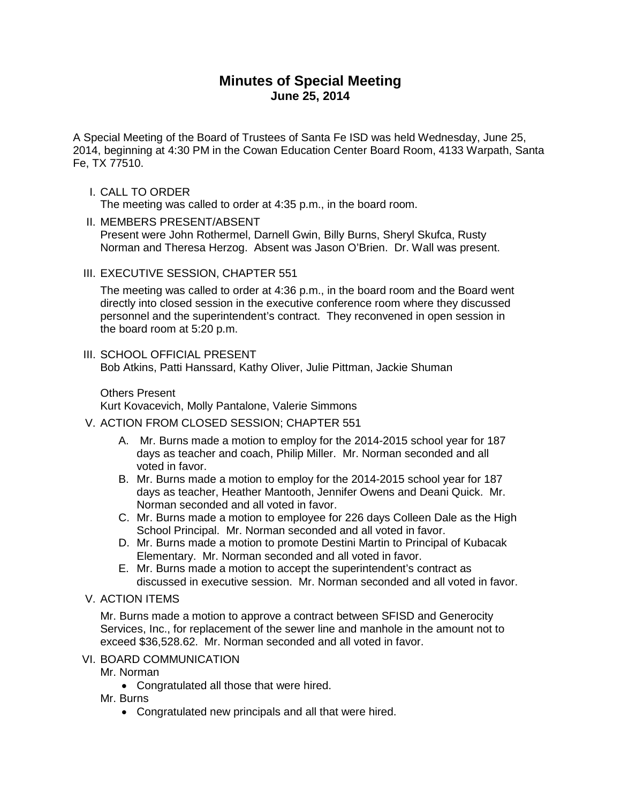# **Minutes of Special Meeting June 25, 2014**

A Special Meeting of the Board of Trustees of Santa Fe ISD was held Wednesday, June 25, 2014, beginning at 4:30 PM in the Cowan Education Center Board Room, 4133 Warpath, Santa Fe, TX 77510.

### I. CALL TO ORDER

The meeting was called to order at 4:35 p.m., in the board room.

- II. MEMBERS PRESENT/ABSENT Present were John Rothermel, Darnell Gwin, Billy Burns, Sheryl Skufca, Rusty Norman and Theresa Herzog. Absent was Jason O'Brien. Dr. Wall was present.
- III. EXECUTIVE SESSION, CHAPTER 551

The meeting was called to order at 4:36 p.m., in the board room and the Board went directly into closed session in the executive conference room where they discussed personnel and the superintendent's contract. They reconvened in open session in the board room at 5:20 p.m.

# III. SCHOOL OFFICIAL PRESENT

Bob Atkins, Patti Hanssard, Kathy Oliver, Julie Pittman, Jackie Shuman

Others Present

Kurt Kovacevich, Molly Pantalone, Valerie Simmons

# V. ACTION FROM CLOSED SESSION; CHAPTER 551

- A. Mr. Burns made a motion to employ for the 2014-2015 school year for 187 days as teacher and coach, Philip Miller. Mr. Norman seconded and all voted in favor.
- B. Mr. Burns made a motion to employ for the 2014-2015 school year for 187 days as teacher, Heather Mantooth, Jennifer Owens and Deani Quick. Mr. Norman seconded and all voted in favor.
- C. Mr. Burns made a motion to employee for 226 days Colleen Dale as the High School Principal. Mr. Norman seconded and all voted in favor.
- D. Mr. Burns made a motion to promote Destini Martin to Principal of Kubacak Elementary. Mr. Norman seconded and all voted in favor.
- E. Mr. Burns made a motion to accept the superintendent's contract as discussed in executive session. Mr. Norman seconded and all voted in favor.
- V. ACTION ITEMS

Mr. Burns made a motion to approve a contract between SFISD and Generocity Services, Inc., for replacement of the sewer line and manhole in the amount not to exceed \$36,528.62. Mr. Norman seconded and all voted in favor.

#### VI. BOARD COMMUNICATION

Mr. Norman

• Congratulated all those that were hired.

Mr. Burns

• Congratulated new principals and all that were hired.